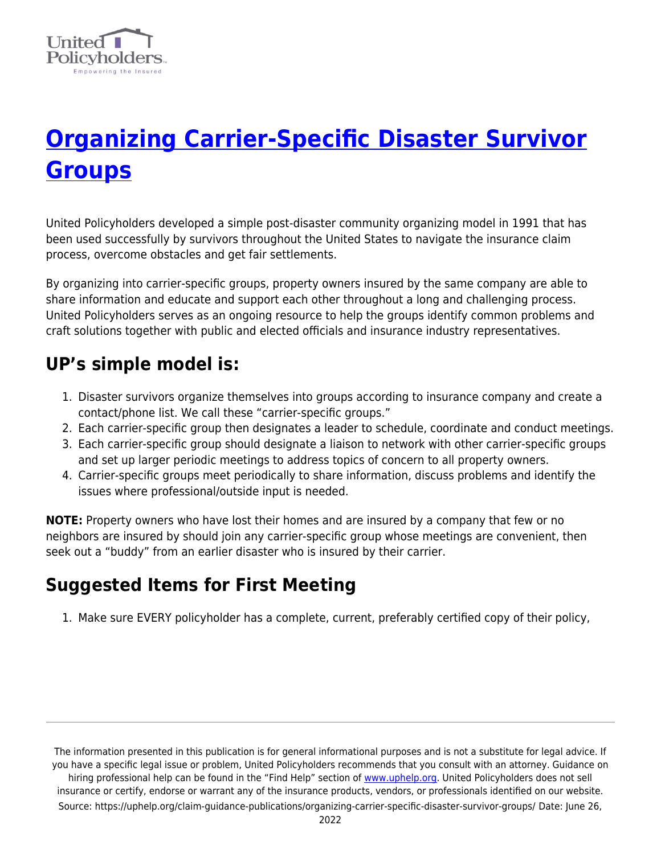

## **[Organizing Carrier-Specific Disaster Survivor](https://uphelp.org/claim-guidance-publications/organizing-carrier-specific-disaster-survivor-groups/) [Groups](https://uphelp.org/claim-guidance-publications/organizing-carrier-specific-disaster-survivor-groups/)**

United Policyholders developed a simple post-disaster community organizing model in 1991 that has been used successfully by survivors throughout the United States to navigate the insurance claim process, overcome obstacles and get fair settlements.

By organizing into carrier-specific groups, property owners insured by the same company are able to share information and educate and support each other throughout a long and challenging process. United Policyholders serves as an ongoing resource to help the groups identify common problems and craft solutions together with public and elected officials and insurance industry representatives.

## **UP's simple model is:**

- 1. Disaster survivors organize themselves into groups according to insurance company and create a contact/phone list. We call these "carrier-specific groups."
- 2. Each carrier-specific group then designates a leader to schedule, coordinate and conduct meetings.
- 3. Each carrier-specific group should designate a liaison to network with other carrier-specific groups and set up larger periodic meetings to address topics of concern to all property owners.
- 4. Carrier-specific groups meet periodically to share information, discuss problems and identify the issues where professional/outside input is needed.

**NOTE:** Property owners who have lost their homes and are insured by a company that few or no neighbors are insured by should join any carrier-specific group whose meetings are convenient, then seek out a "buddy" from an earlier disaster who is insured by their carrier.

## **Suggested Items for First Meeting**

1. Make sure EVERY policyholder has a complete, current, preferably certified copy of their policy,

The information presented in this publication is for general informational purposes and is not a substitute for legal advice. If you have a specific legal issue or problem, United Policyholders recommends that you consult with an attorney. Guidance on hiring professional help can be found in the "Find Help" section of [www.uphelp.org.](http://www.uphelp.org/) United Policyholders does not sell insurance or certify, endorse or warrant any of the insurance products, vendors, or professionals identified on our website. Source: https://uphelp.org/claim-guidance-publications/organizing-carrier-specific-disaster-survivor-groups/ Date: June 26,